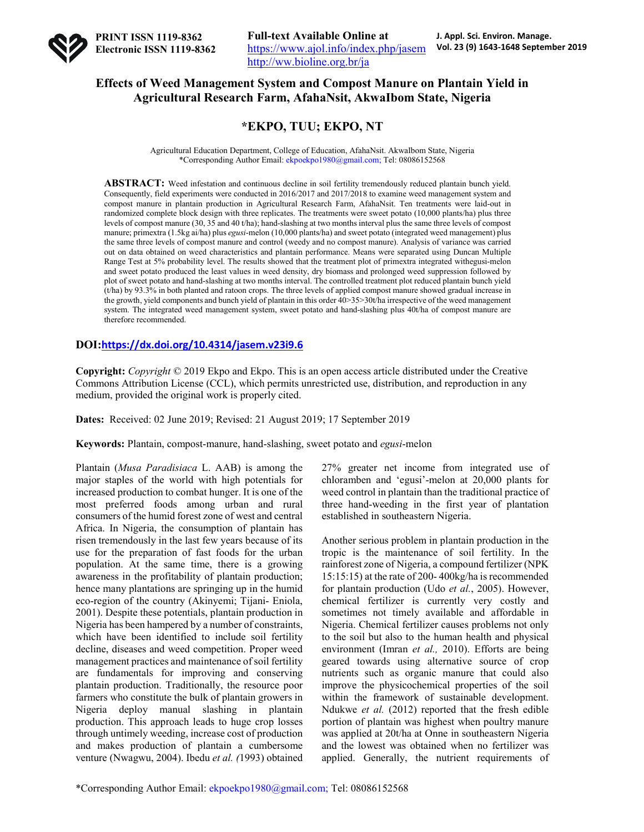

## **Effects of Weed Management System and Compost Manure on Plantain Yield in Agricultural Research Farm, AfahaNsit, AkwaIbom State, Nigeria**

# **\*EKPO, TUU; EKPO, NT**

Agricultural Education Department, College of Education, AfahaNsit. AkwaIbom State, Nigeria \*Corresponding Author Email: ekpoekpo1980@gmail.com; Tel: 08086152568

**ABSTRACT:** Weed infestation and continuous decline in soil fertility tremendously reduced plantain bunch yield. Consequently, field experiments were conducted in 2016/2017 and 2017/2018 to examine weed management system and compost manure in plantain production in Agricultural Research Farm, AfahaNsit. Ten treatments were laid-out in randomized complete block design with three replicates. The treatments were sweet potato (10,000 plants/ha) plus three levels of compost manure (30, 35 and 40 t/ha); hand-slashing at two months interval plus the same three levels of compost manure; primextra (1.5kg ai/ha) plus *egusi*-melon (10,000 plants/ha) and sweet potato (integrated weed management) plus the same three levels of compost manure and control (weedy and no compost manure). Analysis of variance was carried out on data obtained on weed characteristics and plantain performance. Means were separated using Duncan Multiple Range Test at 5% probability level. The results showed that the treatment plot of primextra integrated withegusi-melon and sweet potato produced the least values in weed density, dry biomass and prolonged weed suppression followed by plot of sweet potato and hand-slashing at two months interval. The controlled treatment plot reduced plantain bunch yield (t/ha) by 93.3% in both planted and ratoon crops. The three levels of applied compost manure showed gradual increase in the growth, yield components and bunch yield of plantain in this order 40>35>30t/ha irrespective of the weed management system. The integrated weed management system, sweet potato and hand-slashing plus 40t/ha of compost manure are therefore recommended.

### **DOI:https://dx.doi.org/10.4314/jasem.v23i9.6**

**Copyright:** *Copyright* © 2019 Ekpo and Ekpo. This is an open access article distributed under the Creative Commons Attribution License (CCL), which permits unrestricted use, distribution, and reproduction in any medium, provided the original work is properly cited.

**Dates:** Received: 02 June 2019; Revised: 21 August 2019; 17 September 2019

**Keywords:** Plantain, compost-manure, hand-slashing, sweet potato and *egusi*-melon

Plantain (*Musa Paradisiaca* L. AAB) is among the major staples of the world with high potentials for increased production to combat hunger. It is one of the most preferred foods among urban and rural consumers of the humid forest zone of west and central Africa. In Nigeria, the consumption of plantain has risen tremendously in the last few years because of its use for the preparation of fast foods for the urban population. At the same time, there is a growing awareness in the profitability of plantain production; hence many plantations are springing up in the humid eco-region of the country (Akinyemi; Tijani- Eniola, 2001). Despite these potentials, plantain production in Nigeria has been hampered by a number of constraints, which have been identified to include soil fertility decline, diseases and weed competition. Proper weed management practices and maintenance of soil fertility are fundamentals for improving and conserving plantain production. Traditionally, the resource poor farmers who constitute the bulk of plantain growers in Nigeria deploy manual slashing in plantain production. This approach leads to huge crop losses through untimely weeding, increase cost of production and makes production of plantain a cumbersome venture (Nwagwu, 2004). Ibedu *et al. (*1993) obtained 27% greater net income from integrated use of chloramben and 'egusi'-melon at 20,000 plants for weed control in plantain than the traditional practice of three hand-weeding in the first year of plantation established in southeastern Nigeria.

Another serious problem in plantain production in the tropic is the maintenance of soil fertility. In the rainforest zone of Nigeria, a compound fertilizer (NPK 15:15:15) at the rate of 200- 400kg/ha is recommended for plantain production (Udo *et al.*, 2005). However, chemical fertilizer is currently very costly and sometimes not timely available and affordable in Nigeria. Chemical fertilizer causes problems not only to the soil but also to the human health and physical environment (Imran *et al.,* 2010). Efforts are being geared towards using alternative source of crop nutrients such as organic manure that could also improve the physicochemical properties of the soil within the framework of sustainable development. Ndukwe *et al.* (2012) reported that the fresh edible portion of plantain was highest when poultry manure was applied at 20t/ha at Onne in southeastern Nigeria and the lowest was obtained when no fertilizer was applied. Generally, the nutrient requirements of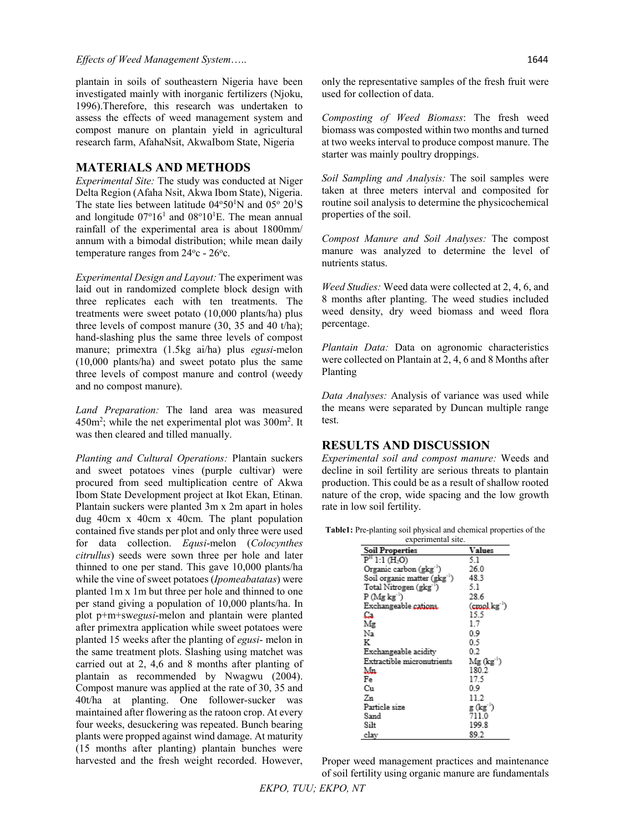#### *Effects of Weed Management System*….. 1644

plantain in soils of southeastern Nigeria have been investigated mainly with inorganic fertilizers (Njoku, 1996).Therefore, this research was undertaken to assess the effects of weed management system and compost manure on plantain yield in agricultural research farm, AfahaNsit, AkwaIbom State, Nigeria

### **MATERIALS AND METHODS**

*Experimental Site:* The study was conducted at Niger Delta Region (Afaha Nsit, Akwa Ibom State), Nigeria. The state lies between latitude  $04^{\circ}50^{\prime}$ N and  $05^{\circ} 20^{\prime}$ S and longitude  $07^{\circ}16^1$  and  $08^{\circ}10^1$ E. The mean annual rainfall of the experimental area is about 1800mm/ annum with a bimodal distribution; while mean daily temperature ranges from  $24^{\circ}$ c -  $26^{\circ}$ c.

*Experimental Design and Layout:* The experiment was laid out in randomized complete block design with three replicates each with ten treatments. The treatments were sweet potato (10,000 plants/ha) plus three levels of compost manure (30, 35 and 40 t/ha); hand-slashing plus the same three levels of compost manure; primextra (1.5kg ai/ha) plus *egusi*-melon (10,000 plants/ha) and sweet potato plus the same three levels of compost manure and control (weedy and no compost manure).

*Land Preparation:* The land area was measured  $450m^2$ ; while the net experimental plot was  $300m^2$ . It was then cleared and tilled manually.

*Planting and Cultural Operations:* Plantain suckers and sweet potatoes vines (purple cultivar) were procured from seed multiplication centre of Akwa Ibom State Development project at Ikot Ekan, Etinan. Plantain suckers were planted 3m x 2m apart in holes dug 40cm x 40cm x 40cm. The plant population contained five stands per plot and only three were used for data collection. *Equsi*-melon (*Colocynthes citrullus*) seeds were sown three per hole and later thinned to one per stand. This gave 10,000 plants/ha while the vine of sweet potatoes (*Ipomeabatatas*) were planted 1m x 1m but three per hole and thinned to one per stand giving a population of 10,000 plants/ha. In plot p+m+sw*egusi*-melon and plantain were planted after primextra application while sweet potatoes were planted 15 weeks after the planting of *egusi*- melon in the same treatment plots. Slashing using matchet was carried out at 2, 4,6 and 8 months after planting of plantain as recommended by Nwagwu (2004). Compost manure was applied at the rate of 30, 35 and 40t/ha at planting. One follower-sucker was maintained after flowering as the ratoon crop. At every four weeks, desuckering was repeated. Bunch bearing plants were propped against wind damage. At maturity (15 months after planting) plantain bunches were harvested and the fresh weight recorded. However,

only the representative samples of the fresh fruit were used for collection of data.

*Composting of Weed Biomass*: The fresh weed biomass was composted within two months and turned at two weeks interval to produce compost manure. The starter was mainly poultry droppings.

*Soil Sampling and Analysis:* The soil samples were taken at three meters interval and composited for routine soil analysis to determine the physicochemical properties of the soil.

*Compost Manure and Soil Analyses:* The compost manure was analyzed to determine the level of nutrients status.

*Weed Studies:* Weed data were collected at 2, 4, 6, and 8 months after planting. The weed studies included weed density, dry weed biomass and weed flora percentage.

*Plantain Data:* Data on agronomic characteristics were collected on Plantain at 2, 4, 6 and 8 Months after Planting

*Data Analyses:* Analysis of variance was used while the means were separated by Duncan multiple range test.

## **RESULTS AND DISCUSSION**

*Experimental soil and compost manure:* Weeds and decline in soil fertility are serious threats to plantain production. This could be as a result of shallow rooted nature of the crop, wide spacing and the low growth rate in low soil fertility.

**Table1:** Pre-planting soil physical and chemical properties of the

| experimental site.                    |                               |  |  |
|---------------------------------------|-------------------------------|--|--|
| <b>Soil Properties</b>                | Values                        |  |  |
| P <sup>H</sup> 1:1 (H <sub>2</sub> O) | 5.1                           |  |  |
| Organic carbon (gkg <sup>-1</sup> )   | 26.0                          |  |  |
| Soil organic matter (gkg")            | 48.3                          |  |  |
| Total Nitrogen (gkg <sup>-1</sup> )   | 5.1                           |  |  |
| $P(Mg kg-1)$                          | 28.6                          |  |  |
| Exchangeable cations.                 | $(\text{cmol}\, \text{kg}^+)$ |  |  |
| Ca.                                   | 15.5                          |  |  |
| Mg                                    | 1.7                           |  |  |
| Na                                    | 0.9                           |  |  |
| ĸ                                     | 0.5                           |  |  |
| Exchangeable acidity                  | 0.2                           |  |  |
| Extractible micronutrients            | $Mg$ (kg <sup>-1</sup> )      |  |  |
| Mn                                    | 180.2                         |  |  |
| Fe                                    | 17.5                          |  |  |
| Сu                                    | 0.9                           |  |  |
| Zn                                    | 11.2                          |  |  |
| Particle size                         | g (kg')                       |  |  |
| Sand                                  | 711.0                         |  |  |
| Silt                                  | 199.8                         |  |  |
| elay                                  | 89.2                          |  |  |

Proper weed management practices and maintenance of soil fertility using organic manure are fundamentals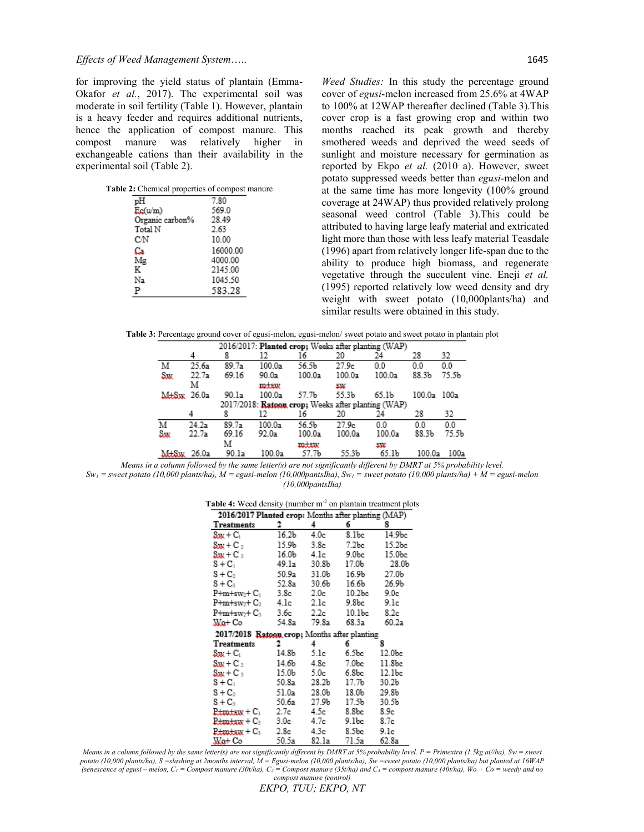for improving the yield status of plantain (Emma-Okafor *et al.*, 2017). The experimental soil was moderate in soil fertility (Table 1). However, plantain is a heavy feeder and requires additional nutrients, hence the application of compost manure. This compost manure was relatively higher in exchangeable cations than their availability in the experimental soil (Table 2).

| Table 2: Chemical properties of compost manure |          |
|------------------------------------------------|----------|
| рH                                             | 7.80     |
| Ec(u/m)                                        | 569.0    |
| Organic carbon%                                | 28.49    |
| Total N                                        | 2.63     |
| СN                                             | 10.00    |
| Ca                                             | 16000.00 |
| Mε                                             | 4000.00  |
| K                                              | 2145.00  |
| Na                                             | 1045.50  |
| Р                                              | 583.28   |

*Weed Studies:* In this study the percentage ground cover of *egusi*-melon increased from 25.6% at 4WAP to 100% at 12WAP thereafter declined (Table 3).This cover crop is a fast growing crop and within two months reached its peak growth and thereby smothered weeds and deprived the weed seeds of sunlight and moisture necessary for germination as reported by Ekpo *et al.* (2010 a). However, sweet potato suppressed weeds better than *egusi-*melon and at the same time has more longevity (100% ground coverage at 24WAP) thus provided relatively prolong seasonal weed control (Table 3).This could be attributed to having large leafy material and extricated light more than those with less leafy material Teasdale (1996) apart from relatively longer life-span due to the ability to produce high biomass, and regenerate vegetative through the succulent vine. Eneji *et al.*  (1995) reported relatively low weed density and dry weight with sweet potato (10,000plants/ha) and similar results were obtained in this study.

**Table 3:** Percentage ground cover of egusi-melon, egusi-melon/ sweet potato and sweet potato in plantain plot

|           | 2016/2017: Planted crop; Weeks after planting (WAP) |       |        |                                                    |                   |                   |        |                   |
|-----------|-----------------------------------------------------|-------|--------|----------------------------------------------------|-------------------|-------------------|--------|-------------------|
|           | 4                                                   |       | 12     | 16                                                 | 20                | 24                | 28     | 32                |
| м         | 25.6a                                               | 89.7a | 100.0a | 56.5b                                              | 27.9c             | 0.0               | 0.0    | $_{0.0}$          |
| Sw.       | 22.7a                                               | 69.16 | 90.0a  | 100.0a                                             | 100.0a            | 100.0a            | 88.3b  | 75.5 <sub>b</sub> |
|           | м                                                   |       | سنس    |                                                    | تعامله            |                   |        |                   |
| $M_H$ Six | 26.0a                                               | 90.1a | 100.0a | 57.7b                                              | 55.3b             | 65.1b             | 100.0a | 100a              |
|           |                                                     |       |        | 2017/2018: Ratoon crop; Weeks after planting (WAP) |                   |                   |        |                   |
|           | 4                                                   | 8     | 12     | 16                                                 | 20                | 24                | 28     | 32                |
| M         | 24.2a                                               | 89.7a | 100.0a | 56.5b                                              | 27.9 <sub>c</sub> | 0.0               | 0.0    | 0.0               |
| Sw        | 22.7a                                               | 69.16 | 92.0a  | 100.0a                                             | 100.0a            | 100.0a            | 88.3b  | 75.5b             |
|           |                                                     | м     |        | mtsw                                               |                   | تبيت              |        |                   |
| M+Sw      | 26.0a                                               | 90.1a | 100.0a | 57.7Ь                                              | 55.3b             | 65.1 <sub>b</sub> | 100.0a | 100a              |

*Means in a column followed by the same letter(s) are not significantly different by DMRT at 5% probability level.*  $Sw_1$  = sweet potato (10,000 plants/ha),  $\dot{M}$  = egusi-melon (10,000pantsIha),  $Sw_1$  = sweet potato (10,000 plants/ha) +  $M$  = egusi-melon *(10,000pantsIha)*

|  |  |  |  |  |  |  | Table 4: Weed density (number m <sup>-2</sup> on plantain treatment plots |  |
|--|--|--|--|--|--|--|---------------------------------------------------------------------------|--|
|--|--|--|--|--|--|--|---------------------------------------------------------------------------|--|

| 2016/2017 Planted crop: Months after planting (MAP) |       |                  |                   |        |
|-----------------------------------------------------|-------|------------------|-------------------|--------|
| Treatments                                          | 2     | 4                | б                 | 8      |
| $S_{\text{UV}} + C_1$                               | 16.2b | 4.0c             | 8.1bc             | 14.9bc |
| $S_{\rm{UV}}$ + C <sub>2</sub>                      | 15.9b | 3.8c             | 7.2 <sub>bc</sub> | 15.2bc |
| $S_{\rm{JW}} + C_{\rm{B}}$                          | 16.0b | 4.1c             | 9.0bc             | 15.0bc |
| $S + C_1$                                           | 49.1a | 30.8b            | 17.0b             | 28.0b  |
| $S + C_2$                                           | 50.9a | 31.0b            | 16.9b             | 27.0Ъ  |
| $S + C_3$                                           | 52.8a | 30.6b            | 16.6b             | 26.9b  |
| P+m+sw2+ C1                                         | 3.8c  | 2.0 <sub>c</sub> | 10.2bc            | 9.0c   |
| $P+m+sw_2+C_2$                                      | 4.lc  | 2.1c             | 9.8bc             | 9.1c   |
| $P+m+sw_2+C_3$                                      | 3.6c  | 2.2c             | 10.1bc            | 8.2c   |
| Wa+ Co                                              | 54.8a | 79.8a            | 68.3a             | 60.2a  |
| 2017/2018 Ratoon crop; Months after planting        |       |                  |                   |        |
| Treatments                                          | 2.    | 4                | 6                 | 8      |
| $S_{\rm HK}+{\rm C_1}$                              | 14.8b | 5.1c             | 6.5bc             | 12.0bc |
| $\text{Sw} + \text{C}_2$                            | 14.6b | 4.8c             | 7.0bc             | 11.8bc |
| $S_{\rm{NN}}+C_{\rm{B}}$                            | 15.0b | 5.0c             | 6.8bc             | 12.1bc |
| $S + C_1$                                           | 50.8a | 28.2b            | 17.7Ь             | 30.2b  |
| $S + C_2$                                           | 51.0a | 28.0b            | 18.06             | 29.8b  |
| $S + C_3$                                           | 50.6a | 27.9Ь            | 17.5b             | 30.5b  |
| $P_{\text{t}}$ m $_{\text{t}}$ sxx + C $_{1}$       | 2.7c  | 4.5e.            | 8.8bc             | 8.9c   |
| $R_{\text{t}}$ m $_{\text{t}}$ tax + $\mathrm{C}_2$ | 3.0c  | 4.7c             | 9.1bc             | 8.7c   |
| $P_{\text{t}}$ m $_{\text{t}}$ sw $+C_3$            | 2.8c  | 4.3e             | 8.5bc             | 9.1c   |
| Wa+ Co                                              | 50.5a | 82.1a            | 71.5a             | 62.8a  |

*Means in a column followed by the same letter(s) are not significantly different by DMRT at 5% probability level. P = Primextra (1.5kg ai//ha), Sw = sweet potato (10,000 plants/ha), S =slashing at 2months interval, M = Egusi-melon (10,000 plants/ha), Sw =sweet potato (10,000 plants/ha) but planted at 16WAP (senescence of egusi – melon, C1 = Compost manure (30t/ha), C2 = Compost manure (35t/ha) and C3 = compost manure (40t/ha), Wo + Co = weedy and no compost manure (control)*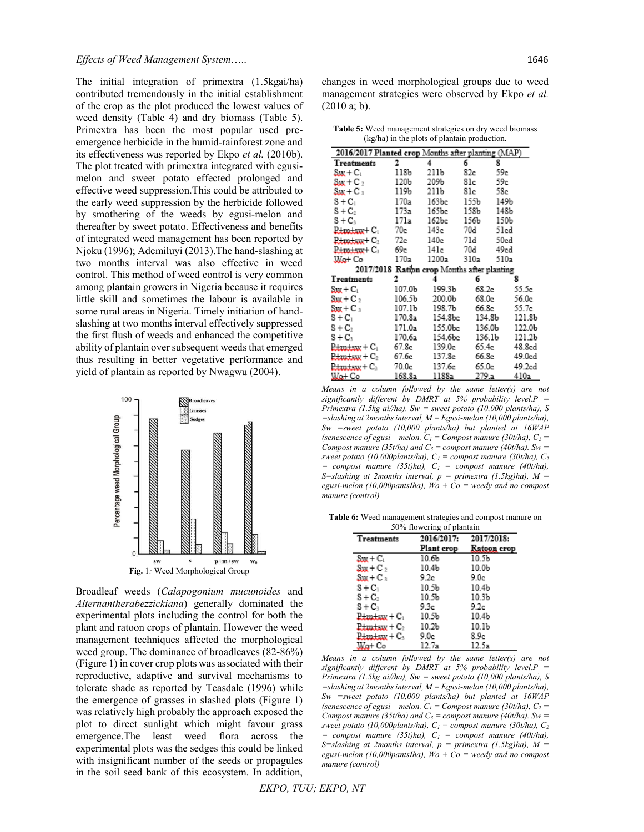The initial integration of primextra (1.5kgai/ha) contributed tremendously in the initial establishment of the crop as the plot produced the lowest values of weed density (Table 4) and dry biomass (Table 5). Primextra has been the most popular used preemergence herbicide in the humid-rainforest zone and its effectiveness was reported by Ekpo *et al.* (2010b). The plot treated with primextra integrated with egusimelon and sweet potato effected prolonged and effective weed suppression.This could be attributed to the early weed suppression by the herbicide followed by smothering of the weeds by egusi-melon and thereafter by sweet potato. Effectiveness and benefits of integrated weed management has been reported by Njoku (1996); Ademiluyi (2013).The hand-slashing at two months interval was also effective in weed control. This method of weed control is very common among plantain growers in Nigeria because it requires little skill and sometimes the labour is available in some rural areas in Nigeria. Timely initiation of handslashing at two months interval effectively suppressed the first flush of weeds and enhanced the competitive ability of plantain over subsequent weeds that emerged thus resulting in better vegetative performance and yield of plantain as reported by Nwagwu (2004).



Broadleaf weeds (*Calapogonium mucunoides* and *Alternantherabezzickiana*) generally dominated the experimental plots including the control for both the plant and ratoon crops of plantain. However the weed management techniques affected the morphological weed group. The dominance of broadleaves (82-86%) (Figure 1) in cover crop plots was associated with their reproductive, adaptive and survival mechanisms to tolerate shade as reported by Teasdale (1996) while the emergence of grasses in slashed plots (Figure 1) was relatively high probably the approach exposed the plot to direct sunlight which might favour grass emergence.The least weed flora across the experimental plots was the sedges this could be linked with insignificant number of the seeds or propagules in the soil seed bank of this ecosystem. In addition,

changes in weed morphological groups due to weed management strategies were observed by Ekpo *et al.* (2010 a; b).

**Table 5:** Weed management strategies on dry weed biomass (kg/ha) in the plots of plantain production.

| 2016/2017 Planted crop Months after planting (MAP)                      |        |                                             |       |                              |  |
|-------------------------------------------------------------------------|--------|---------------------------------------------|-------|------------------------------|--|
| Treatments                                                              | 2.     | $\overline{\mathbf{4}}$                     | б.    | 8                            |  |
| $\text{Sw}_{\text{t}} + \text{C}_1$                                     | 118b   | 211Ь                                        | 82c   | 59e                          |  |
| $\text{Sw} + \text{C}_2$                                                | 120Ь   | 209Ь                                        | 81c   | 59e                          |  |
| $S_{\rm KK}$ + C $_{\rm 3}$                                             | 119b   | 211Ь                                        | 81c   | 58e                          |  |
| $S + C_1$                                                               | 170a   | 163bc                                       | 155b  | 149b                         |  |
| $S + C_2$                                                               | 173a   | 165bc                                       | 158b  | 148b                         |  |
| $S + C_3$                                                               | 171a   | 162bc                                       | 156Ь  | 150b                         |  |
| $p_{\text{trans}} + c_1$ 70e                                            |        | 143e                                        | 70d   | 51cd                         |  |
| $P_{\text{+}m\text{-}s\text{-}s\text{-}v\text{+}C_2$ 72c                |        | 140e                                        | 71d   | 50ed                         |  |
| $P_{\pm m+\text{sav}}$ + $C_3$                                          | 69e    | 141c                                        | 70d   | 49ed                         |  |
| Wa+ Co                                                                  | 170a   | 1200a                                       | 310a  | 510a                         |  |
|                                                                         |        | 2017/2018 Ration crop Months after planting |       |                              |  |
| Treatments                                                              | 2.     | $\overline{4}$                              | 6.    | 8                            |  |
| $\text{Sw} + \text{C}_1$                                                | 107.0Ь | 199.3b                                      | 68.2c | 55.5e                        |  |
| $\mathbf{S}$ ux + C $_2$                                                | 106.5b | 200.0Ъ                                      | 68.0e | 56.0c                        |  |
| $\mathbf{S}$ vu + C $_{3}$                                              | 107.1b | 198.7b                                      | 66.8c | 55.7e                        |  |
| $S + C_1$                                                               | 170.8a | 154.8bc                                     |       | 134.8b<br>121.8b             |  |
| $S + C_2$                                                               | 171.0a | 155.0bc                                     |       | 136.0b<br>122.0b             |  |
| $S + C_3$                                                               | 170.6a | 154.6bc                                     |       | 136.1b<br>121.2 <sub>b</sub> |  |
| $\frac{P_{\text{t}}}{P_{\text{t}}+P_{\text{t}}} + C_1$ 67.8c            |        | 139.0c                                      | 65.4e | 48.8cd                       |  |
| $\frac{D_{\text{t}}}{D_{\text{t}} + D_{\text{t}} + D_{\text{t}}}$ 67.6e |        | 137.8c                                      | 66.8c | 49.0cd                       |  |
| P±m±sw+C3                                                               | 70.0e  | 137.6e                                      | 65.0e | 49.2cd                       |  |
| $W_0 + C_0$                                                             | 168.8a | 1188a                                       | 279a  | 410а                         |  |

*Means in a column followed by the same letter(s) are not significantly different by DMRT at 5% probability level.P = Primextra (1.5kg ai//ha), Sw = sweet potato (10,000 plants/ha), S =slashing at 2months interval, M = Egusi-melon (10,000 plants/ha), Sw =sweet potato (10,000 plants/ha) but planted at 16WAP (senescence of egusi – melon.*  $C_1$  = *Compost manure (30t/ha),*  $C_2$  = *Compost manure (35t/ha) and C<sub>3</sub> = compost manure (40t/ha). Sw* = *sweet potato (10,000plants/ha),*  $C_1$  = *compost manure (30t/ha),*  $C_2$ *= compost manure (35t)ha), C1 = compost manure (40t/ha), S=slashing at 2months interval, p = primextra (1.5kg)ha), M =*  egusi-melon (10,000pantsIha),  $Wo + Co$  = weedy and no compost *manure (control)* 

**Table 6:** Weed management strategies and compost manure on

| 50% flowering of plantain              |                   |                   |  |
|----------------------------------------|-------------------|-------------------|--|
| Treatments                             | 2016/2017:        | 2017/2018:        |  |
|                                        | Plant crop        | Ratoon crop       |  |
| $S_{\text{JW}} + C_1$                  | 10.6 <sub>b</sub> | 10.5b             |  |
| $\mathbf{S} \mathbf{w} + \mathbf{C}_2$ | 10.4 <sub>b</sub> | 10.0 <sub>b</sub> |  |
| $S_{\rm HK}$ + C $_{\rm 3}$            | 9.2c              | 9.0c              |  |
| $S + C_1$                              | 10.5b             | 10.4 <sub>b</sub> |  |
| $S + C_2$                              | 10.5b             | 10.3 <sub>b</sub> |  |
| $S + C_3$                              | 9.3c              | 9.2c              |  |
| $_{\rm E}$ E $_{\rm H}$ and $_{\rm H}$ | 10.5b             | 10.4 <sub>b</sub> |  |
| <b>P±m±sxx + C</b> 2                   | 10.2 <sub>b</sub> | 10.1b             |  |
| <del>P±m±sxx</del> + C3                | 9.0c              | 8.9c              |  |
| Wa+ Co                                 | 12.7a             | 12.5a             |  |

*Means in a column followed by the same letter(s) are not significantly different by DMRT at 5% probability level.P = Primextra (1.5kg ai//ha), Sw = sweet potato (10,000 plants/ha), S =slashing at 2months interval, M = Egusi-melon (10,000 plants/ha), Sw =sweet potato (10,000 plants/ha) but planted at 16WAP (senescence of egusi – melon.*  $C_1$  = *Compost manure (30t/ha), C<sub>2</sub> = Compost manure (35t/ha) and C<sub>3</sub> = compost manure (40t/ha). Sw = sweet potato (10,000plants/ha),*  $C_1$  = *compost manure (30t/ha),*  $C_2$  $=$  *compost manure (35t)ha),*  $C_1$   $=$  *compost manure (40t/ha), S=slashing at 2months interval, p = primextra (1.5kg)ha), M =*  egusi-melon (10,000pantsIha),  $W_0 + \bar{C}_0$  = weedy and no compost *manure (control)*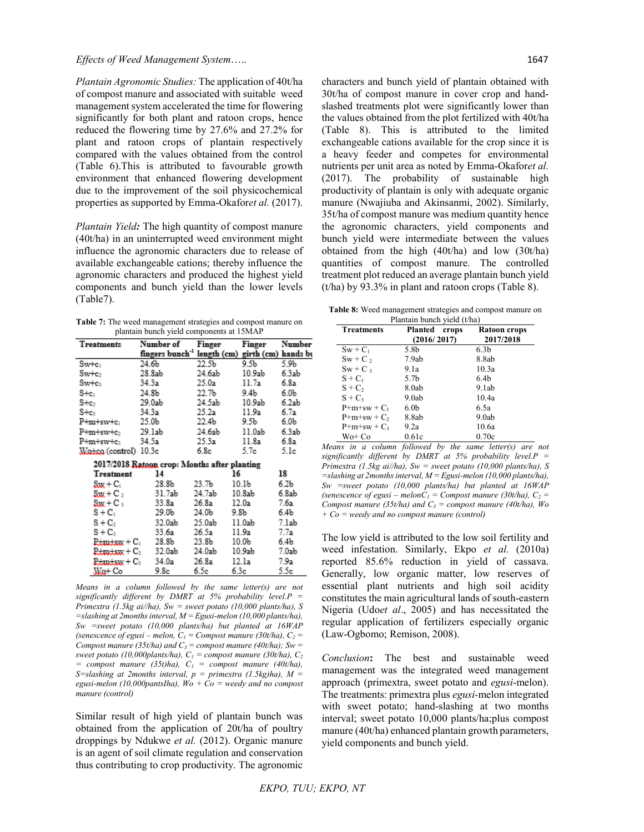*Plantain Agronomic Studies:* The application of 40t/ha of compost manure and associated with suitable weed management system accelerated the time for flowering significantly for both plant and ratoon crops, hence reduced the flowering time by 27.6% and 27.2% for plant and ratoon crops of plantain respectively compared with the values obtained from the control (Table 6).This is attributed to favourable growth environment that enhanced flowering development due to the improvement of the soil physicochemical properties as supported by Emma-Okafor*et al.* (2017).

*Plantain Yield:* The high quantity of compost manure (40t/ha) in an uninterrupted weed environment might influence the agronomic characters due to release of available exchangeable cations; thereby influence the agronomic characters and produced the highest yield components and bunch yield than the lower levels (Table7).

| <b>Table 7:</b> The weed management strategies and compost manure on |
|----------------------------------------------------------------------|
| plantain bunch yield components at 15MAP                             |

| Treatments                         | Number of                                                   | Finger            | Finger | Number           |
|------------------------------------|-------------------------------------------------------------|-------------------|--------|------------------|
|                                    | fingers bunch <sup>-1</sup> length (cm) girth (cm) hands bu |                   |        |                  |
| $Sw+c_1$                           | 24.6b                                                       | 22.5b             | 9.5b   | 5.9b             |
| $Sw+c_2$                           | 28.8ab                                                      | 24.6ab            | 10.9ab | 6.3ab            |
| $Sw+c_3$                           | 34.3a                                                       | 25.0a             | 11.7a  | 6.8a             |
| $S + c_1$                          | 24.8b                                                       | 22.7Ь             | 9.4b   | 6.0 <sub>b</sub> |
| $S + c_2$                          | 29.0ab                                                      | 24.5ab            | 10.9ab | 6.2ab            |
| $S+e_3$                            | 34.3a                                                       | 25.2a             | 11.9a  | 6.7a             |
| P+m+sw+e <sub>1</sub>              | 25.0b                                                       | 22.4Ь             | 9.5b   | 6.0b             |
| P+m+sw+e>                          | 29.1ab                                                      | 24.6ab            | 11.0ab | 6.3ab            |
| P+m+sw+cs                          | 34.5a                                                       | 25.3a             | 11.8a  | 6.8a             |
| Watca (control) 10.3c              |                                                             | 6.8c              | 5.7e   | 5.1e             |
|                                    | 2017/2018 Ratoon crop: Months after planting                |                   |        |                  |
| Treatment                          | 14                                                          | 16                |        | 18               |
| $S_{\text{JMC}} + C_1$             | 28.8b                                                       | 23.7 <sub>b</sub> | 10.1b  | 6.2b             |
| $\text{Sw} + \text{C}_2$           | 31.7ab                                                      | 24.7ab            | 10.8ab | 6.8ab            |
| $\mathbf{S}$ ux + C $_3$           | 33.8a                                                       | 26.8a             | 12.0a  | 7.6a             |
| $S + C_1$                          | 29.0b                                                       | 24.0b             | 9.8b   | 6.4b             |
| $S + C_2$                          | 32.0ab                                                      | 25.0ab            | 11.0ab | 7.1ab            |
| $S + C_3$                          | 33.6a                                                       | 26.5a             | 11.9a  | 7.7a             |
| <del>Promissa</del> + Cı           | 28.8b                                                       | 23.8b             | 10.0b  | 6.4b             |
| <del>Pimiaw</del> + C <sub>2</sub> | 32.0ab                                                      | 24.0ab            | 10.9ab | 7.0ab            |
| <del>Pimiaw</del> + Cs             | 34.0a                                                       | 26.8a             | 12.1a  | 7.9a             |
| Wa+ Co                             | 9.8c                                                        | 6.5c              | 6.3c   | 5.5e             |

*Means in a column followed by the same letter(s) are not significantly different by DMRT at 5% probability level.P = Primextra (1.5kg ai//ha), Sw = sweet potato (10,000 plants/ha), S =slashing at 2months interval, M = Egusi-melon (10,000 plants/ha), Sw =sweet potato (10,000 plants/ha) but planted at 16WAP (senescence of egusi – melon,*  $C_1$  = *Compost manure (30t/ha),*  $C_2$  = *Compost manure (35t/ha) and C<sub>3</sub> = compost manure (40t/ha); Sw* = *sweet potato (10,000plants/ha),*  $C_1$  = *compost manure (30t/ha),*  $C_2$ *= compost manure (35t)ha), C1 = compost manure (40t/ha), S*=slashing at 2months interval,  $p =$  primextra (1.5kg)ha),  $M =$ *egusi-melon (10,000pantsIha), Wo + Co = weedy and no compost manure (control)*

Similar result of high yield of plantain bunch was obtained from the application of 20t/ha of poultry droppings by Ndukwe *et al.* (2012). Organic manure is an agent of soil climate regulation and conservation thus contributing to crop productivity. The agronomic

characters and bunch yield of plantain obtained with 30t/ha of compost manure in cover crop and handslashed treatments plot were significantly lower than the values obtained from the plot fertilized with 40t/ha (Table 8). This is attributed to the limited exchangeable cations available for the crop since it is a heavy feeder and competes for environmental nutrients per unit area as noted by Emma-Okafor*et al.* (2017). The probability of sustainable high productivity of plantain is only with adequate organic manure (Nwajiuba and Akinsanmi, 2002). Similarly, 35t/ha of compost manure was medium quantity hence the agronomic characters, yield components and bunch yield were intermediate between the values obtained from the high (40t/ha) and low (30t/ha) quantities of compost manure. The controlled treatment plot reduced an average plantain bunch yield (t/ha) by 93.3% in plant and ratoon crops (Table 8).

**Table 8:** Weed management strategies and compost manure on Plantain bunch yield (t/ha)

| <b>Treatments</b> | Planted<br>crops<br>(2016/2017) | Ratoon crops<br>2017/2018 |
|-------------------|---------------------------------|---------------------------|
| $Sw + C_1$        | 5.8b                            | 6.3 <sub>b</sub>          |
| $Sw + C$ ,        | 7.9ab                           | 8.8ab                     |
| $Sw + C_3$        | 9.1a                            | 10.3a                     |
| $S + C_1$         | 5.7b                            | 6.4 <sub>b</sub>          |
| $S + C_2$         | 8.0ab                           | 9.1ab                     |
| $S + C_3$         | 9.0ab                           | 10.4a                     |
| $P+m+sw+C_1$      | 6.0 <sub>b</sub>                | 6.5a                      |
| $P+m+sw+C_2$      | 8.8ab                           | 9.0ab                     |
| $P+m+sw+C_3$      | 9.2a                            | 10.6a                     |
| Wo+ Co            | 0.61c                           | 0.70c                     |

*Means in a column followed by the same letter(s) are not significantly different by DMRT at 5% probability level.P = Primextra (1.5kg ai//ha), Sw = sweet potato (10,000 plants/ha), S =slashing at 2months interval, M = Egusi-melon (10,000 plants/ha), Sw =sweet potato (10,000 plants/ha) but planted at 16WAP (senescence of egusi – melon* $C_1$  = *Compost manure (30t/ha), C<sub>2</sub> = Compost manure (35t/ha) and*  $C_3$  *= compost manure (40t/ha), Wo + Co = weedy and no compost manure (control)* 

The low yield is attributed to the low soil fertility and weed infestation. Similarly, Ekpo *et al.* (2010a) reported 85.6% reduction in yield of cassava. Generally, low organic matter, low reserves of essential plant nutrients and high soil acidity constitutes the main agricultural lands of south-eastern Nigeria (Udo*et al*., 2005) and has necessitated the regular application of fertilizers especially organic (Law-Ogbomo; Remison, 2008).

*Conclusion***:** The best and sustainable weed management was the integrated weed management approach (primextra, sweet potato and *egusi*-melon). The treatments: primextra plus *egusi-*melon integrated with sweet potato; hand-slashing at two months interval; sweet potato 10,000 plants/ha;plus compost manure (40t/ha) enhanced plantain growth parameters, yield components and bunch yield.